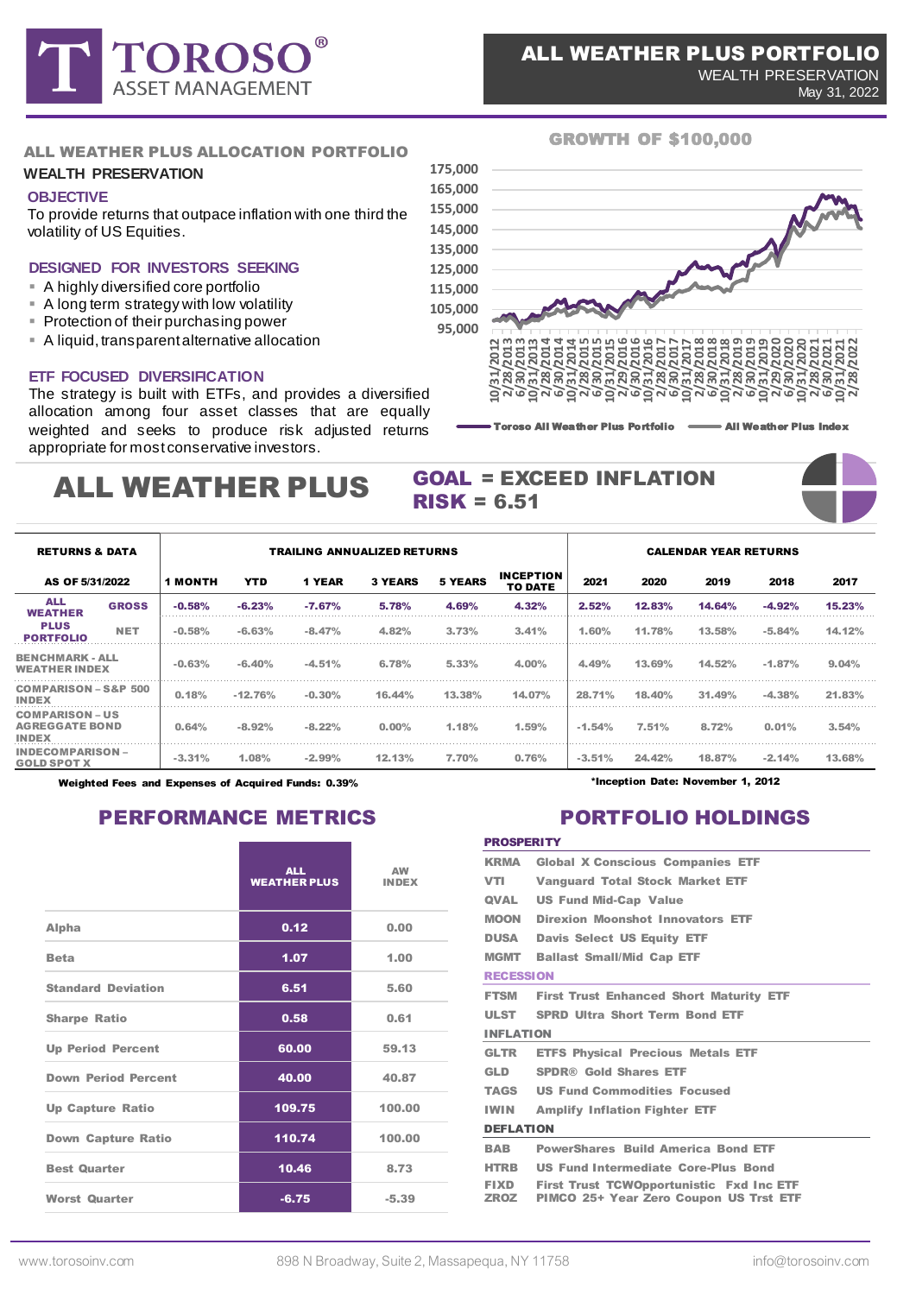

#### GROWTH OF \$100,000

#### ALL WEATHER PLUS ALLOCATION PORTFOLIO

#### **WEALTH PRESERVATION**

#### **OBJECTIVE**

To provide returns that outpace inflation with one third the volatility of US Equities.

#### **DESIGNED FOR INVESTORS SEEKING**

- A highly diversified core portfolio
- **EXT** A long term strategy with low volatility
- **Protection of their purchasing power**
- **A** liquid, transparent alternative allocation

#### **ETF FOCUSED DIVERSIFICATION**

The strategy is built with ETFs, and provides a diversified allocation among four asset classes that are equally weighted and seeks to produce risk adjusted returns appropriate for most conservative investors.

#### $RISK = 6.51$ ALL WEATHER PLUS



# GOAL = EXCEED INFLATION



May 31, 2022

| <b>RETURNS &amp; DATA</b>                                       |              | <b>TRAILING ANNUALIZED RETURNS</b> |           |           |                |                |                                    |          | <b>CALENDAR YEAR RETURNS</b> |        |          |        |  |  |  |
|-----------------------------------------------------------------|--------------|------------------------------------|-----------|-----------|----------------|----------------|------------------------------------|----------|------------------------------|--------|----------|--------|--|--|--|
| AS OF 5/31/2022                                                 |              | <b>1 MONTH</b>                     | YTD       | 1 YEAR    | <b>3 YEARS</b> | <b>5 YEARS</b> | <b>INCEPTION</b><br><b>TO DATE</b> | 2021     | 2020                         | 2019   | 2018     | 2017   |  |  |  |
| <b>ALL</b><br><b>WEATHER</b><br><b>PLUS</b><br><b>PORTFOLIO</b> | <b>GROSS</b> | $-0.58%$                           | $-6.23%$  | $-7.67%$  | 5.78%          | 4.69%          | 4.32%                              | 2.52%    | 12.83%                       | 14.64% | $-4.92%$ |        |  |  |  |
|                                                                 | <b>NET</b>   | $-0.58%$                           | $-6.63%$  | $-8.47%$  | 4.82%          | 3.73%          | 3.41%                              | 1.60%    | 11.78%                       | 13.58% | $-5.84%$ | 14.12% |  |  |  |
| <b>BENCHMARK - ALL</b><br><b>WEATHER INDEX</b>                  |              | $-0.63%$                           | $-6.40%$  | $-4.51%$  | 6.78%          | 5.33%          | 4.00%                              | 4.49%    | 13.69%                       | 14.52% | $-1.87%$ | 9.04%  |  |  |  |
| <b>COMPARISON - S&amp;P 500</b><br><b>INDEX</b>                 |              | 0.18%                              | $-12.76%$ | $-0.30\%$ | 44%            | $13.38\%$      | 14.07%                             | 28.71%   | 18.40%                       | 31.49% |          | 21.83% |  |  |  |
| <b>COMPARISON – US</b><br><b>AGREGGATE BOND</b><br><b>INDEX</b> |              | 0.64%                              | $-8.92%$  | $-8.22%$  | $0.00\%$       | 1.18%          | 1.59%                              | $-1.54%$ | 7.51%                        | 8.72%  | 0.01%    | 3.54%  |  |  |  |
| GOLD SPOT X                                                     |              | $-3.31\%$                          | 1.08%     |           | 12.13%         | 7.70%          | 0.76%                              | $-3.51%$ | 24.42%                       | 18.87% | $-2.14%$ | 13.68% |  |  |  |

Weighted Fees and Expenses of Acquired Funds: 0.39%

## PERFORMANCE METRICS PORTFOLIO HOLDINGS

|                            | <b>ALL</b><br><b>WEATHER PLUS</b> | $\triangle W$<br><b>INDEX</b> |
|----------------------------|-----------------------------------|-------------------------------|
| Alpha                      | 0.12                              | 0.00                          |
| <b>Beta</b>                | 1.07                              | 1.00                          |
| <b>Standard Deviation</b>  | 6.51                              | 5.60                          |
| <b>Sharpe Ratio</b>        | 0.58                              | 0.61                          |
| <b>Up Period Percent</b>   | 60.00                             | 59.13                         |
| <b>Down Period Percent</b> | 40.00                             | 40.87                         |
| <b>Up Capture Ratio</b>    | 109.75                            | 100.00                        |
| <b>Down Capture Ratio</b>  | 110.74                            | 100.00                        |
| <b>Best Quarter</b>        | 10.46                             | 8.73                          |
| <b>Worst Quarter</b>       | $-6.75$                           | $-5.39$                       |

\*Inception Date: November 1, 2012

#### **PROSPERITY**

| KRMA             | <b>Global X Conscious Companies ETF</b>         |  |  |  |  |  |  |  |
|------------------|-------------------------------------------------|--|--|--|--|--|--|--|
| VTI              | <b>Vanguard Total Stock Market ETF</b>          |  |  |  |  |  |  |  |
| <b>QVAL</b>      | <b>US Fund Mid-Cap Value</b>                    |  |  |  |  |  |  |  |
| <b>MOON</b>      | <b>Direxion Moonshot Innovators ETF</b>         |  |  |  |  |  |  |  |
| <b>DUSA</b>      | <b>Davis Select US Equity ETF</b>               |  |  |  |  |  |  |  |
| <b>MGMT</b>      | <b>Ballast Small/Mid Cap ETF</b>                |  |  |  |  |  |  |  |
| <b>RECESSION</b> |                                                 |  |  |  |  |  |  |  |
| <b>FTSM</b>      | <b>First Trust Enhanced Short Maturity ETF</b>  |  |  |  |  |  |  |  |
| <b>ULST</b>      | <b>SPRD Ultra Short Term Bond ETF</b>           |  |  |  |  |  |  |  |
| <b>INFLATION</b> |                                                 |  |  |  |  |  |  |  |
| <b>GLTR</b>      | <b>ETFS Physical Precious Metals ETF</b>        |  |  |  |  |  |  |  |
| GLD              | <b>SPDR® Gold Shares ETF</b>                    |  |  |  |  |  |  |  |
| TAGS             | <b>US Fund Commodities Focused</b>              |  |  |  |  |  |  |  |
| <b>IWIN</b>      | <b>Amplify Inflation Fighter ETF</b>            |  |  |  |  |  |  |  |
| <b>DEFLATION</b> |                                                 |  |  |  |  |  |  |  |
| BAB              | <b>PowerShares Build America Bond ETF</b>       |  |  |  |  |  |  |  |
| <b>HTRB</b>      | <b>US Fund Intermediate Core-Plus Bond</b>      |  |  |  |  |  |  |  |
| <b>FIXD</b>      | <b>First Trust TCWOpportunistic Fxd Inc ETF</b> |  |  |  |  |  |  |  |
|                  | ZROZ PIMCO 25+ Year Zero Coupon US Trst ETF     |  |  |  |  |  |  |  |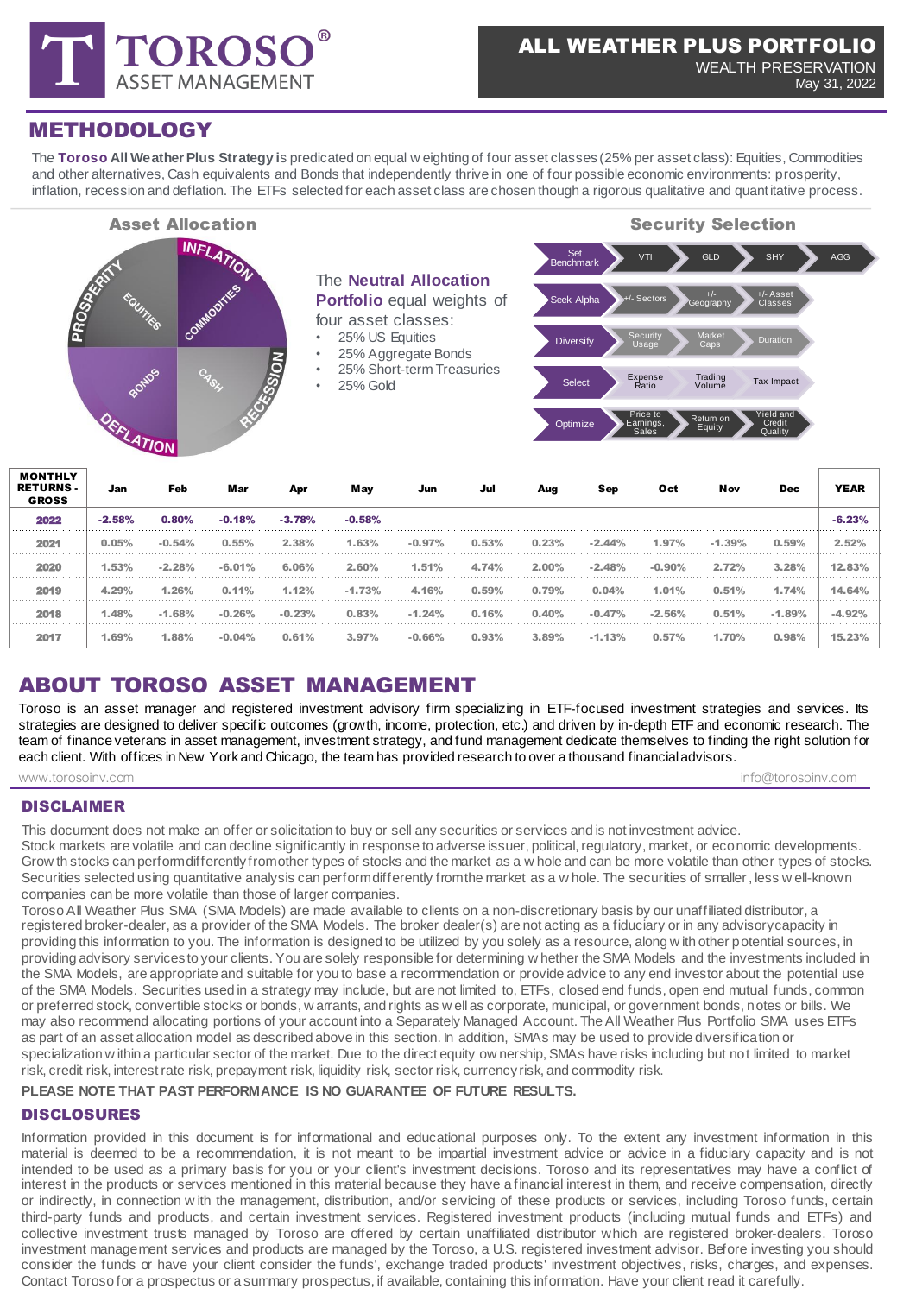

May 31, 2022

## METHODOLOGY

The **Toroso All Weather Plus Strategy i**s predicated on equal w eighting of four asset classes (25% per asset class): Equities, Commodities and other alternatives, Cash equivalents and Bonds that independently thrive in one of four possible economic environments: prosperity, inflation, recession and deflation. The ETFs selected for each asset class are chosen though a rigorous qualitative and quantitative process.



| <b>WUNINLI</b><br><b>RETURNS -</b><br><b>GROSS</b> | Jan      | Feb      | Mar      | Apr      | May      | Jun      | Jul   | Aug   | Sep      | Oct      | Nov      | <b>Dec</b> | <b>YEAR</b>     |
|----------------------------------------------------|----------|----------|----------|----------|----------|----------|-------|-------|----------|----------|----------|------------|-----------------|
| 2022                                               | $-2.58%$ | 0.80%    | $-0.18%$ | $-3.78%$ | $-0.58%$ |          |       |       |          |          |          |            |                 |
| 2021                                               | 0.05%    | $-0.54%$ | 0.55%    | 2.38%    | 1.63%    | $-0.97%$ | 0.53% | 0.23% | $-2.44%$ | 1.97%    | $-1.39%$ | 0.59%      | 2.52%           |
| 2020                                               | 1.53%    | $-2.28%$ | $-6.01%$ | 6.06%    | 2.60%    | 1.51%    | 4.74% | 2.00% | $-2.48%$ | $-0.90%$ | 2.72%    | 3.28%      | 12.83%          |
| 2019                                               | 4.29%    | 1.26%    | 0.11%    | 1.12%    | $-1.73%$ | 4.16%    | 0.59% | 0.79% | 0.04%    | 1.01%    | 0.51%    | 1.74%      | 14.64%          |
| 2018                                               | 1.48%    | $-1.68%$ | $-0.26%$ | $-0.23%$ | 0.83%    | $-1.24%$ | 0.16% | 0.40% | $-0.47%$ | $-2.56%$ | 0.51%    | $-1.89%$   | $-4.92^{\circ}$ |
| 2017                                               | 1.69%    | 1.88%    | $-0.04%$ | 0.61%    | 3.97%    | $-0.66%$ | 0.93% | 3.89% | $-1.13%$ | 0.57%    | 1.70%    | 0.98%      | 15.23%          |

## ABOUT TOROSO ASSET MANAGEMENT

Toroso is an asset manager and registered investment advisory firm specializing in ETF-focused investment strategies and services. Its strategies are designed to deliver specific outcomes (growth, income, protection, etc.) and driven by in-depth ETF and economic research. The team of finance veterans in asset management, investment strategy, and fund management dedicate themselves to finding the right solution for each client. With offices in New York and Chicago, the team has provided research to over a thousand financialadvisors.

www.torosoinv.com info@torosoinv.com info@torosoinv.com info@torosoinv.com

#### DISCLAIMER

This document does not make an offer or solicitation to buy or sell any securities or services and is not investment advice. Stock markets are volatile and can decline significantly in response to adverse issuer, political, regulatory, market, or economic developments. Grow th stocks can perform differently from other types of stocks and the market as a w hole and can be more volatile than other types of stocks. Securities selected using quantitative analysis can perform differently from the market as a w hole. The securities of smaller, less w ell-known companies can be more volatile than those of larger companies.

Toroso All Weather Plus SMA (SMA Models) are made available to clients on a non-discretionary basis by our unaffiliated distributor, a registered broker-dealer, as a provider of the SMA Models. The broker dealer(s) are not acting as a fiduciary or in any advisorycapacity in providing this information to you. The information is designed to be utilized by you solely as a resource, along w ith other potential sources, in providing advisory services to your clients. You are solely responsible for determining w hether the SMA Models and the investments included in the SMA Models, are appropriate and suitable for you to base a recommendation or provide advice to any end investor about the potential use of the SMA Models. Securities used in a strategy may include, but are not limited to, ETFs, closed end funds, open end mutual funds, common or preferred stock, convertible stocks or bonds, w arrants, and rights as w ell as corporate, municipal, or government bonds, notes or bills. We may also recommend allocating portions of your account into a Separately Managed Account. The All Weather Plus Portfolio SMA uses ETFs as part of an asset allocation model as described above in this section. In addition, SMAs may be used to provide diversification or specialization w ithin a particular sector of the market. Due to the direct equity ow nership, SMAs have risks including but not limited to market risk, credit risk, interest rate risk, prepayment risk, liquidity risk, sector risk, currency risk, and commodity risk.

#### **PLEASE NOTE THAT PAST PERFORMANCE IS NO GUARANTEE OF FUTURE RESULTS.**

### DISCLOSURES

Information provided in this document is for informational and educational purposes only. To the extent any investment information in this material is deemed to be a recommendation, it is not meant to be impartial investment advice or advice in a fiduciary capacity and is not intended to be used as a primary basis for you or your client's investment decisions. Toroso and its representatives may have a conflict of interest in the products or services mentioned in this material because they have a financial interest in them, and receive compensation, directly or indirectly, in connection w ith the management, distribution, and/or servicing of these products or services, including Toroso funds, certain third-party funds and products, and certain investment services. Registered investment products (including mutual funds and ETFs) and collective investment trusts managed by Toroso are offered by certain unaffiliated distributor which are registered broker-dealers. Toroso investment management services and products are managed by the Toroso, a U.S. registered investment advisor. Before investing you should consider the funds or have your client consider the funds', exchange traded products' investment objectives, risks, charges, and expenses. Contact Toroso for a prospectus or a summary prospectus, if available, containing this information. Have your client read it carefully.